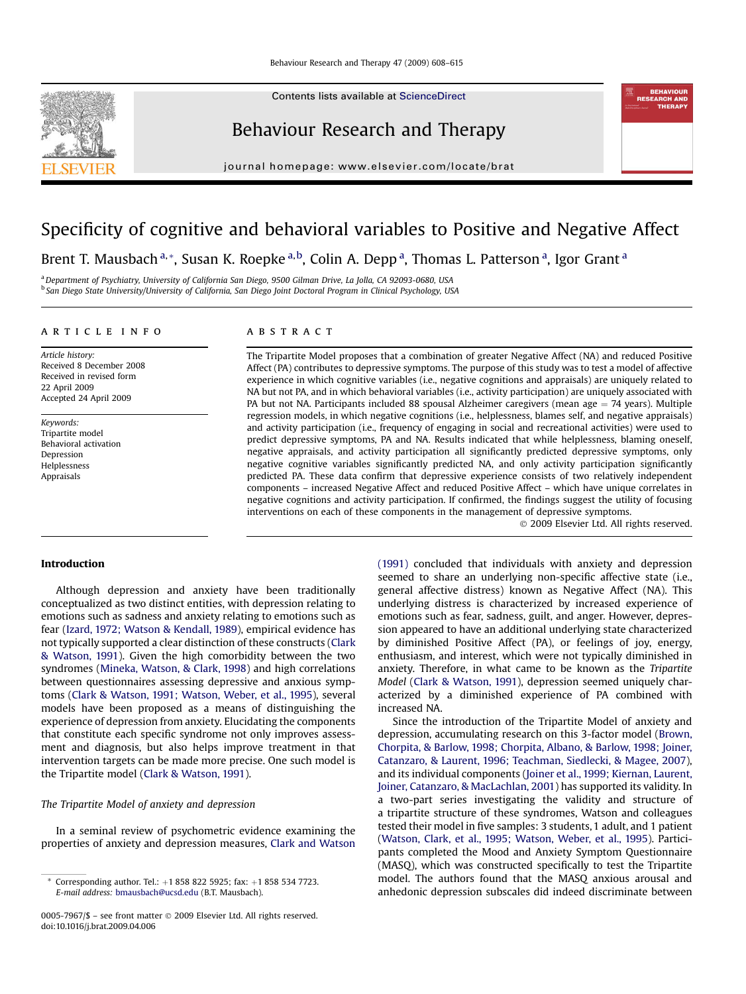Contents lists available at [ScienceDirect](www.sciencedirect.com/science/journal/00057967)



### Behaviour Research and Therapy

journal homepage: [www.elsevier.com/locate/brat](http://www.elsevier.com/locate/brat)

# Specificity of cognitive and behavioral variables to Positive and Negative Affect

Brent T. Mausbach <sup>a, \*</sup>, Susan K. Roepke <sup>a, b</sup>, Colin A. Depp <sup>a</sup>, Thomas L. Patterson <sup>a</sup>, Igor Grant <sup>a</sup>

<sup>a</sup> Department of Psychiatry, University of California San Diego, 9500 Gilman Drive, La Jolla, CA 92093-0680, USA <sup>b</sup> San Diego State University/University of California, San Diego Joint Doctoral Program in Clinical Psychology, USA

#### article info

Article history: Received 8 December 2008 Received in revised form 22 April 2009 Accepted 24 April 2009

Keywords: Tripartite model Behavioral activation Depression Helplessness Appraisals

#### ABSTRACT

The Tripartite Model proposes that a combination of greater Negative Affect (NA) and reduced Positive Affect (PA) contributes to depressive symptoms. The purpose of this study was to test a model of affective experience in which cognitive variables (i.e., negative cognitions and appraisals) are uniquely related to NA but not PA, and in which behavioral variables (i.e., activity participation) are uniquely associated with PA but not NA. Participants included 88 spousal Alzheimer caregivers (mean age  $= 74$  years). Multiple regression models, in which negative cognitions (i.e., helplessness, blames self, and negative appraisals) and activity participation (i.e., frequency of engaging in social and recreational activities) were used to predict depressive symptoms, PA and NA. Results indicated that while helplessness, blaming oneself, negative appraisals, and activity participation all significantly predicted depressive symptoms, only negative cognitive variables significantly predicted NA, and only activity participation significantly predicted PA. These data confirm that depressive experience consists of two relatively independent components – increased Negative Affect and reduced Positive Affect – which have unique correlates in negative cognitions and activity participation. If confirmed, the findings suggest the utility of focusing interventions on each of these components in the management of depressive symptoms.

- 2009 Elsevier Ltd. All rights reserved.

#### Introduction

Although depression and anxiety have been traditionally conceptualized as two distinct entities, with depression relating to emotions such as sadness and anxiety relating to emotions such as fear ([Izard, 1972; Watson & Kendall, 1989](#page--1-0)), empirical evidence has not typically supported a clear distinction of these constructs [\(Clark](#page--1-0) [& Watson, 1991\)](#page--1-0). Given the high comorbidity between the two syndromes [\(Mineka, Watson, & Clark, 1998\)](#page--1-0) and high correlations between questionnaires assessing depressive and anxious symptoms [\(Clark & Watson, 1991; Watson, Weber, et al., 1995\)](#page--1-0), several models have been proposed as a means of distinguishing the experience of depression from anxiety. Elucidating the components that constitute each specific syndrome not only improves assessment and diagnosis, but also helps improve treatment in that intervention targets can be made more precise. One such model is the Tripartite model ([Clark & Watson, 1991\)](#page--1-0).

#### The Tripartite Model of anxiety and depression

In a seminal review of psychometric evidence examining the properties of anxiety and depression measures, [Clark and Watson](#page--1-0) [\(1991\)](#page--1-0) concluded that individuals with anxiety and depression seemed to share an underlying non-specific affective state (i.e., general affective distress) known as Negative Affect (NA). This underlying distress is characterized by increased experience of emotions such as fear, sadness, guilt, and anger. However, depression appeared to have an additional underlying state characterized by diminished Positive Affect (PA), or feelings of joy, energy, enthusiasm, and interest, which were not typically diminished in anxiety. Therefore, in what came to be known as the Tripartite Model [\(Clark & Watson, 1991](#page--1-0)), depression seemed uniquely characterized by a diminished experience of PA combined with increased NA.

Since the introduction of the Tripartite Model of anxiety and depression, accumulating research on this 3-factor model [\(Brown,](#page--1-0) [Chorpita, & Barlow, 1998; Chorpita, Albano, & Barlow, 1998; Joiner,](#page--1-0) [Catanzaro, & Laurent, 1996; Teachman, Siedlecki, & Magee, 2007\)](#page--1-0), and its individual components [\(Joiner et al., 1999; Kiernan, Laurent,](#page--1-0) [Joiner, Catanzaro, & MacLachlan, 2001](#page--1-0)) has supported its validity. In a two-part series investigating the validity and structure of a tripartite structure of these syndromes, Watson and colleagues tested their model in five samples: 3 students, 1 adult, and 1 patient ([Watson, Clark, et al., 1995; Watson, Weber, et al., 1995](#page--1-0)). Participants completed the Mood and Anxiety Symptom Questionnaire (MASQ), which was constructed specifically to test the Tripartite model. The authors found that the MASQ anxious arousal and anhedonic depression subscales did indeed discriminate between

Corresponding author. Tel.:  $+1$  858 822 5925; fax:  $+1$  858 534 7723. E-mail address: [bmausbach@ucsd.edu](mailto:bmausbach@ucsd.edu) (B.T. Mausbach).

<sup>0005-7967/\$ –</sup> see front matter © 2009 Elsevier Ltd. All rights reserved. doi:10.1016/j.brat.2009.04.006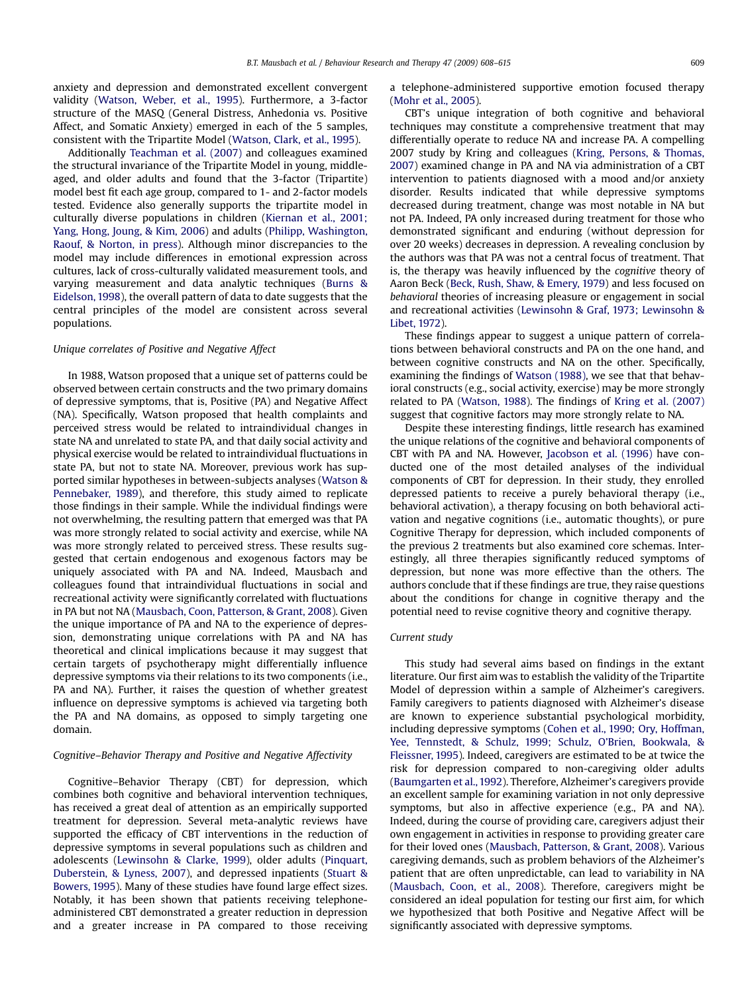anxiety and depression and demonstrated excellent convergent validity ([Watson, Weber, et al., 1995](#page--1-0)). Furthermore, a 3-factor structure of the MASQ (General Distress, Anhedonia vs. Positive Affect, and Somatic Anxiety) emerged in each of the 5 samples, consistent with the Tripartite Model ([Watson, Clark, et al., 1995](#page--1-0)).

Additionally [Teachman et al. \(2007\)](#page--1-0) and colleagues examined the structural invariance of the Tripartite Model in young, middleaged, and older adults and found that the 3-factor (Tripartite) model best fit each age group, compared to 1- and 2-factor models tested. Evidence also generally supports the tripartite model in culturally diverse populations in children [\(Kiernan et al., 2001;](#page--1-0) [Yang, Hong, Joung, & Kim, 2006\)](#page--1-0) and adults ([Philipp, Washington,](#page--1-0) [Raouf, & Norton, in press\)](#page--1-0). Although minor discrepancies to the model may include differences in emotional expression across cultures, lack of cross-culturally validated measurement tools, and varying measurement and data analytic techniques ([Burns &](#page--1-0) [Eidelson, 1998](#page--1-0)), the overall pattern of data to date suggests that the central principles of the model are consistent across several populations.

#### Unique correlates of Positive and Negative Affect

In 1988, Watson proposed that a unique set of patterns could be observed between certain constructs and the two primary domains of depressive symptoms, that is, Positive (PA) and Negative Affect (NA). Specifically, Watson proposed that health complaints and perceived stress would be related to intraindividual changes in state NA and unrelated to state PA, and that daily social activity and physical exercise would be related to intraindividual fluctuations in state PA, but not to state NA. Moreover, previous work has supported similar hypotheses in between-subjects analyses [\(Watson &](#page--1-0) [Pennebaker, 1989](#page--1-0)), and therefore, this study aimed to replicate those findings in their sample. While the individual findings were not overwhelming, the resulting pattern that emerged was that PA was more strongly related to social activity and exercise, while NA was more strongly related to perceived stress. These results suggested that certain endogenous and exogenous factors may be uniquely associated with PA and NA. Indeed, Mausbach and colleagues found that intraindividual fluctuations in social and recreational activity were significantly correlated with fluctuations in PA but not NA ([Mausbach, Coon, Patterson, & Grant, 2008\)](#page--1-0). Given the unique importance of PA and NA to the experience of depression, demonstrating unique correlations with PA and NA has theoretical and clinical implications because it may suggest that certain targets of psychotherapy might differentially influence depressive symptoms via their relations to its two components (i.e., PA and NA). Further, it raises the question of whether greatest influence on depressive symptoms is achieved via targeting both the PA and NA domains, as opposed to simply targeting one domain.

#### Cognitive–Behavior Therapy and Positive and Negative Affectivity

Cognitive–Behavior Therapy (CBT) for depression, which combines both cognitive and behavioral intervention techniques, has received a great deal of attention as an empirically supported treatment for depression. Several meta-analytic reviews have supported the efficacy of CBT interventions in the reduction of depressive symptoms in several populations such as children and adolescents ([Lewinsohn & Clarke, 1999](#page--1-0)), older adults [\(Pinquart,](#page--1-0) [Duberstein, & Lyness, 2007\)](#page--1-0), and depressed inpatients [\(Stuart &](#page--1-0) [Bowers, 1995](#page--1-0)). Many of these studies have found large effect sizes. Notably, it has been shown that patients receiving telephoneadministered CBT demonstrated a greater reduction in depression and a greater increase in PA compared to those receiving a telephone-administered supportive emotion focused therapy ([Mohr et al., 2005\)](#page--1-0).

CBT's unique integration of both cognitive and behavioral techniques may constitute a comprehensive treatment that may differentially operate to reduce NA and increase PA. A compelling 2007 study by Kring and colleagues [\(Kring, Persons, & Thomas,](#page--1-0) [2007\)](#page--1-0) examined change in PA and NA via administration of a CBT intervention to patients diagnosed with a mood and/or anxiety disorder. Results indicated that while depressive symptoms decreased during treatment, change was most notable in NA but not PA. Indeed, PA only increased during treatment for those who demonstrated significant and enduring (without depression for over 20 weeks) decreases in depression. A revealing conclusion by the authors was that PA was not a central focus of treatment. That is, the therapy was heavily influenced by the cognitive theory of Aaron Beck ([Beck, Rush, Shaw, & Emery, 1979](#page--1-0)) and less focused on behavioral theories of increasing pleasure or engagement in social and recreational activities [\(Lewinsohn & Graf, 1973; Lewinsohn &](#page--1-0) [Libet, 1972\)](#page--1-0).

These findings appear to suggest a unique pattern of correlations between behavioral constructs and PA on the one hand, and between cognitive constructs and NA on the other. Specifically, examining the findings of [Watson \(1988\),](#page--1-0) we see that that behavioral constructs (e.g., social activity, exercise) may be more strongly related to PA [\(Watson, 1988](#page--1-0)). The findings of [Kring et al. \(2007\)](#page--1-0) suggest that cognitive factors may more strongly relate to NA.

Despite these interesting findings, little research has examined the unique relations of the cognitive and behavioral components of CBT with PA and NA. However, [Jacobson et al. \(1996\)](#page--1-0) have conducted one of the most detailed analyses of the individual components of CBT for depression. In their study, they enrolled depressed patients to receive a purely behavioral therapy (i.e., behavioral activation), a therapy focusing on both behavioral activation and negative cognitions (i.e., automatic thoughts), or pure Cognitive Therapy for depression, which included components of the previous 2 treatments but also examined core schemas. Interestingly, all three therapies significantly reduced symptoms of depression, but none was more effective than the others. The authors conclude that if these findings are true, they raise questions about the conditions for change in cognitive therapy and the potential need to revise cognitive theory and cognitive therapy.

#### Current study

This study had several aims based on findings in the extant literature. Our first aim was to establish the validity of the Tripartite Model of depression within a sample of Alzheimer's caregivers. Family caregivers to patients diagnosed with Alzheimer's disease are known to experience substantial psychological morbidity, including depressive symptoms [\(Cohen et al., 1990; Ory, Hoffman,](#page--1-0) [Yee, Tennstedt, & Schulz, 1999; Schulz, O'Brien, Bookwala, &](#page--1-0) [Fleissner, 1995](#page--1-0)). Indeed, caregivers are estimated to be at twice the risk for depression compared to non-caregiving older adults ([Baumgarten et al., 1992](#page--1-0)). Therefore, Alzheimer's caregivers provide an excellent sample for examining variation in not only depressive symptoms, but also in affective experience (e.g., PA and NA). Indeed, during the course of providing care, caregivers adjust their own engagement in activities in response to providing greater care for their loved ones [\(Mausbach, Patterson, & Grant, 2008\)](#page--1-0). Various caregiving demands, such as problem behaviors of the Alzheimer's patient that are often unpredictable, can lead to variability in NA ([Mausbach, Coon, et al., 2008](#page--1-0)). Therefore, caregivers might be considered an ideal population for testing our first aim, for which we hypothesized that both Positive and Negative Affect will be significantly associated with depressive symptoms.